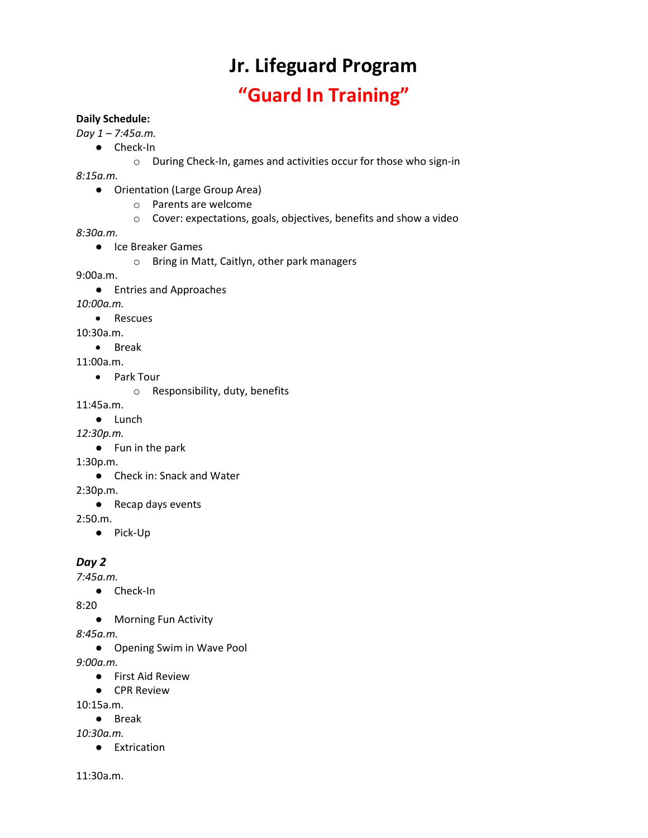# **Jr. Lifeguard Program**

## **"Guard In Training"**

#### **Daily Schedule:**

*Day 1 – 7:45a.m.* 

- Check-In
	- o During Check-In, games and activities occur for those who sign-in

*8:15a.m.* 

- Orientation (Large Group Area)
	- o Parents are welcome
	- o Cover: expectations, goals, objectives, benefits and show a video

*8:30a.m.* 

- Ice Breaker Games
	- o Bring in Matt, Caitlyn, other park managers

9:00a.m.

● Entries and Approaches

*10:00a.m.* 

• Rescues

10:30a.m.

- Break
- 11:00a.m.
	- Park Tour
		- o Responsibility, duty, benefits

11:45a.m.

- Lunch
- *12:30p.m.* 
	- Fun in the park

1:30p.m.

● Check in: Snack and Water

2:30p.m.

● Recap days events

2:50.m.

● Pick-Up

#### *Day 2*

*7:45a.m.* 

● Check-In

8:20

● Morning Fun Activity

*8:45a.m.* 

● Opening Swim in Wave Pool

*9:00a.m.* 

- First Aid Review
- CPR Review

10:15a.m.

● Break

*10:30a.m.* 

● Extrication

11:30a.m.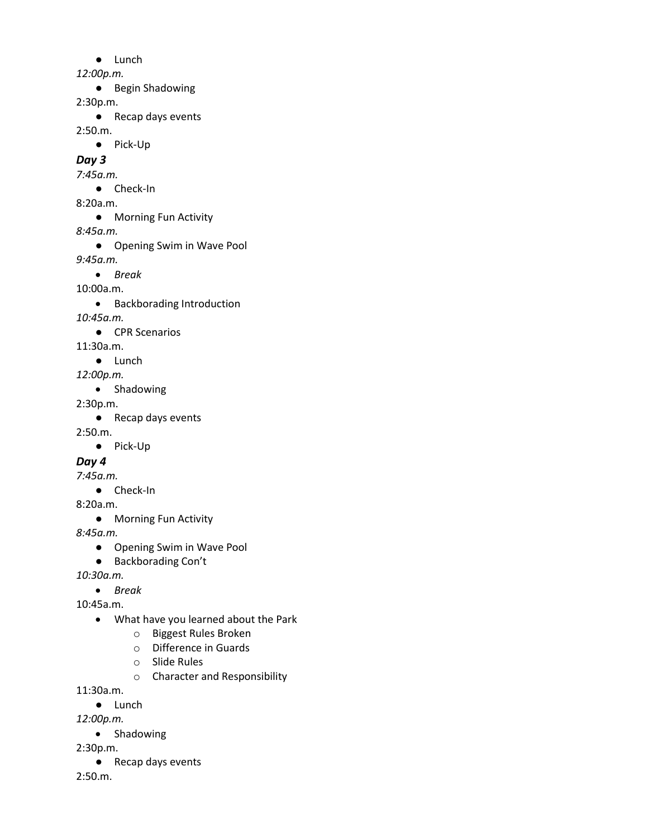● Lunch

*12:00p.m.* 

● Begin Shadowing

2:30p.m.

● Recap days events

2:50.m.

● Pick-Up

*Day 3*

*7:45a.m.* 

- Check-In
- 8:20a.m.
	- Morning Fun Activity

*8:45a.m.* 

● Opening Swim in Wave Pool

*9:45a.m.* 

• *Break* 

10:00a.m.

• Backborading Introduction

*10:45a.m.* 

- CPR Scenarios
- 11:30a.m.
	- Lunch

*12:00p.m.* 

• Shadowing

2:30p.m.

● Recap days events

2:50.m.

● Pick-Up

### *Day 4*

*7:45a.m.* 

● Check-In

8:20a.m.

● Morning Fun Activity

*8:45a.m.* 

- Opening Swim in Wave Pool
- Backborading Con't

*10:30a.m.* 

• *Break* 

10:45a.m.

- What have you learned about the Park
	- o Biggest Rules Broken
	- o Difference in Guards
	- o Slide Rules
	- o Character and Responsibility

11:30a.m.

● Lunch

*12:00p.m.* 

• Shadowing

2:30p.m.

● Recap days events

2:50.m.